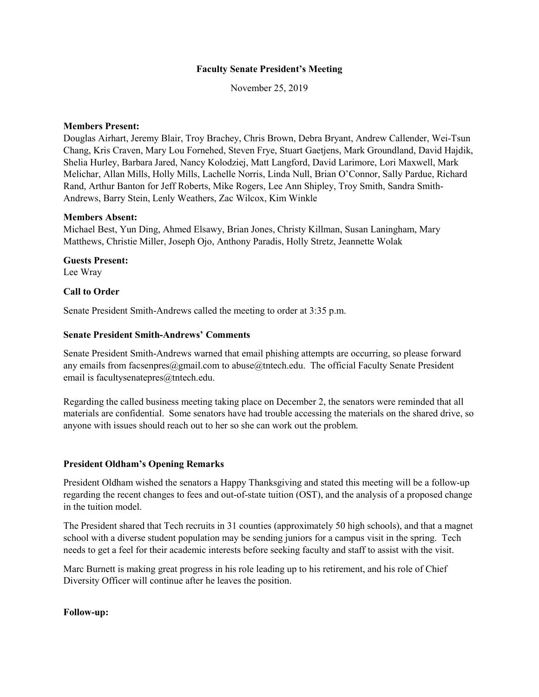#### **Faculty Senate President's Meeting**

November 25, 2019

#### **Members Present:**

Douglas Airhart, Jeremy Blair, Troy Brachey, Chris Brown, Debra Bryant, Andrew Callender, Wei-Tsun Chang, Kris Craven, Mary Lou Fornehed, Steven Frye, Stuart Gaetjens, Mark Groundland, David Hajdik, Shelia Hurley, Barbara Jared, Nancy Kolodziej, Matt Langford, David Larimore, Lori Maxwell, Mark Melichar, Allan Mills, Holly Mills, Lachelle Norris, Linda Null, Brian O'Connor, Sally Pardue, Richard Rand, Arthur Banton for Jeff Roberts, Mike Rogers, Lee Ann Shipley, Troy Smith, Sandra Smith-Andrews, Barry Stein, Lenly Weathers, Zac Wilcox, Kim Winkle

#### **Members Absent:**

Michael Best, Yun Ding, Ahmed Elsawy, Brian Jones, Christy Killman, Susan Laningham, Mary Matthews, Christie Miller, Joseph Ojo, Anthony Paradis, Holly Stretz, Jeannette Wolak

#### **Guests Present:** Lee Wray

#### **Call to Order**

Senate President Smith-Andrews called the meeting to order at 3:35 p.m.

### **Senate President Smith-Andrews' Comments**

Senate President Smith-Andrews warned that email phishing attempts are occurring, so please forward any emails from facsenpres@gmail.com to abuse@tntech.edu. The official Faculty Senate President email is facultysenatepres@tntech.edu.

Regarding the called business meeting taking place on December 2, the senators were reminded that all materials are confidential. Some senators have had trouble accessing the materials on the shared drive, so anyone with issues should reach out to her so she can work out the problem.

#### **President Oldham's Opening Remarks**

President Oldham wished the senators a Happy Thanksgiving and stated this meeting will be a follow-up regarding the recent changes to fees and out-of-state tuition (OST), and the analysis of a proposed change in the tuition model.

The President shared that Tech recruits in 31 counties (approximately 50 high schools), and that a magnet school with a diverse student population may be sending juniors for a campus visit in the spring. Tech needs to get a feel for their academic interests before seeking faculty and staff to assist with the visit.

Marc Burnett is making great progress in his role leading up to his retirement, and his role of Chief Diversity Officer will continue after he leaves the position.

#### **Follow-up:**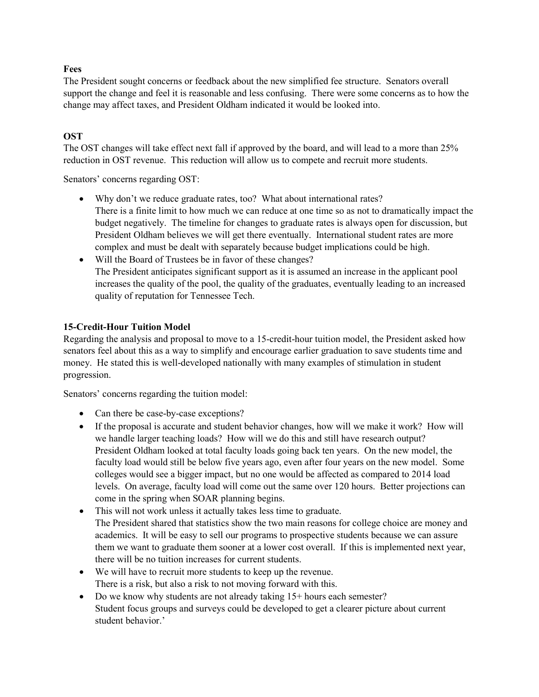### **Fees**

The President sought concerns or feedback about the new simplified fee structure. Senators overall support the change and feel it is reasonable and less confusing. There were some concerns as to how the change may affect taxes, and President Oldham indicated it would be looked into.

## **OST**

The OST changes will take effect next fall if approved by the board, and will lead to a more than 25% reduction in OST revenue. This reduction will allow us to compete and recruit more students.

Senators' concerns regarding OST:

- Why don't we reduce graduate rates, too? What about international rates? There is a finite limit to how much we can reduce at one time so as not to dramatically impact the budget negatively. The timeline for changes to graduate rates is always open for discussion, but President Oldham believes we will get there eventually. International student rates are more complex and must be dealt with separately because budget implications could be high.
- Will the Board of Trustees be in favor of these changes? The President anticipates significant support as it is assumed an increase in the applicant pool increases the quality of the pool, the quality of the graduates, eventually leading to an increased quality of reputation for Tennessee Tech.

### **15-Credit-Hour Tuition Model**

Regarding the analysis and proposal to move to a 15-credit-hour tuition model, the President asked how senators feel about this as a way to simplify and encourage earlier graduation to save students time and money. He stated this is well-developed nationally with many examples of stimulation in student progression.

Senators' concerns regarding the tuition model:

- Can there be case-by-case exceptions?
- If the proposal is accurate and student behavior changes, how will we make it work? How will we handle larger teaching loads? How will we do this and still have research output? President Oldham looked at total faculty loads going back ten years. On the new model, the faculty load would still be below five years ago, even after four years on the new model. Some colleges would see a bigger impact, but no one would be affected as compared to 2014 load levels. On average, faculty load will come out the same over 120 hours. Better projections can come in the spring when SOAR planning begins.
- This will not work unless it actually takes less time to graduate. The President shared that statistics show the two main reasons for college choice are money and academics. It will be easy to sell our programs to prospective students because we can assure them we want to graduate them sooner at a lower cost overall. If this is implemented next year, there will be no tuition increases for current students.
- We will have to recruit more students to keep up the revenue. There is a risk, but also a risk to not moving forward with this.
- Do we know why students are not already taking 15+ hours each semester? Student focus groups and surveys could be developed to get a clearer picture about current student behavior.'